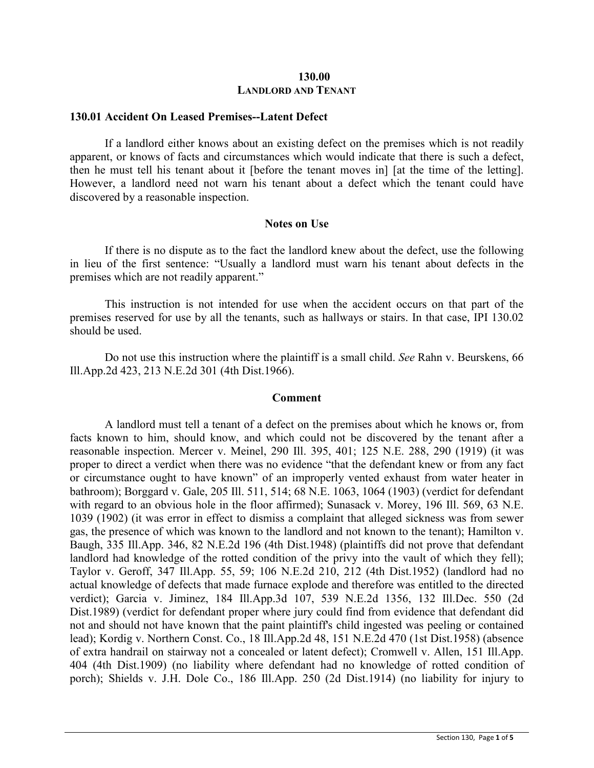## **130.00 LANDLORD AND TENANT**

#### **130.01 Accident On Leased Premises--Latent Defect**

If a landlord either knows about an existing defect on the premises which is not readily apparent, or knows of facts and circumstances which would indicate that there is such a defect, then he must tell his tenant about it [before the tenant moves in] [at the time of the letting]. However, a landlord need not warn his tenant about a defect which the tenant could have discovered by a reasonable inspection.

# **Notes on Use**

If there is no dispute as to the fact the landlord knew about the defect, use the following in lieu of the first sentence: "Usually a landlord must warn his tenant about defects in the premises which are not readily apparent."

This instruction is not intended for use when the accident occurs on that part of the premises reserved for use by all the tenants, such as hallways or stairs. In that case, IPI 130.02 should be used.

Do not use this instruction where the plaintiff is a small child. *See* Rahn v. Beurskens, 66 Ill.App.2d 423, 213 N.E.2d 301 (4th Dist.1966).

#### **Comment**

A landlord must tell a tenant of a defect on the premises about which he knows or, from facts known to him, should know, and which could not be discovered by the tenant after a reasonable inspection. Mercer v. Meinel, 290 Ill. 395, 401; 125 N.E. 288, 290 (1919) (it was proper to direct a verdict when there was no evidence "that the defendant knew or from any fact or circumstance ought to have known" of an improperly vented exhaust from water heater in bathroom); Borggard v. Gale, 205 Ill. 511, 514; 68 N.E. 1063, 1064 (1903) (verdict for defendant with regard to an obvious hole in the floor affirmed); Sunasack v. Morey, 196 Ill. 569, 63 N.E. 1039 (1902) (it was error in effect to dismiss a complaint that alleged sickness was from sewer gas, the presence of which was known to the landlord and not known to the tenant); Hamilton v. Baugh, 335 Ill.App. 346, 82 N.E.2d 196 (4th Dist.1948) (plaintiffs did not prove that defendant landlord had knowledge of the rotted condition of the privy into the vault of which they fell); Taylor v. Geroff, 347 Ill.App. 55, 59; 106 N.E.2d 210, 212 (4th Dist.1952) (landlord had no actual knowledge of defects that made furnace explode and therefore was entitled to the directed verdict); Garcia v. Jiminez, 184 Ill.App.3d 107, 539 N.E.2d 1356, 132 Ill.Dec. 550 (2d Dist.1989) (verdict for defendant proper where jury could find from evidence that defendant did not and should not have known that the paint plaintiff's child ingested was peeling or contained lead); Kordig v. Northern Const. Co., 18 Ill.App.2d 48, 151 N.E.2d 470 (1st Dist.1958) (absence of extra handrail on stairway not a concealed or latent defect); Cromwell v. Allen, 151 Ill.App. 404 (4th Dist.1909) (no liability where defendant had no knowledge of rotted condition of porch); Shields v. J.H. Dole Co., 186 Ill.App. 250 (2d Dist.1914) (no liability for injury to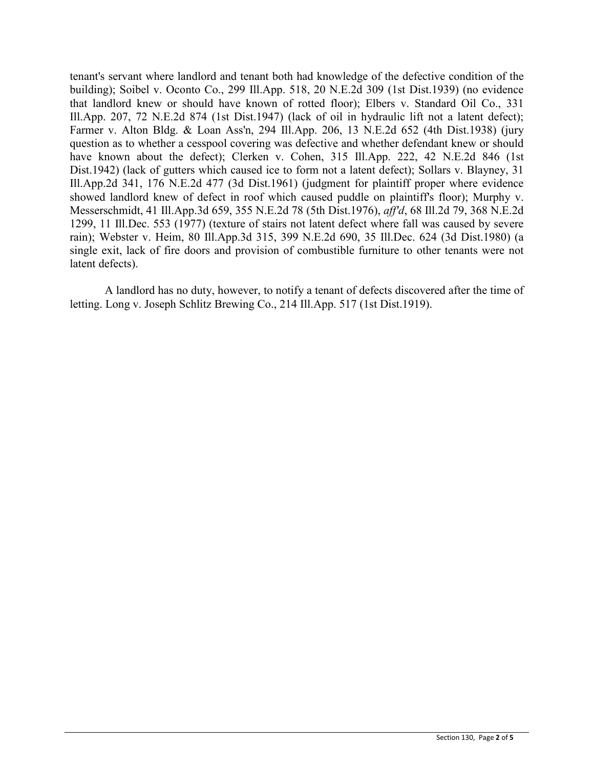tenant's servant where landlord and tenant both had knowledge of the defective condition of the building); Soibel v. Oconto Co., 299 Ill.App. 518, 20 N.E.2d 309 (1st Dist.1939) (no evidence that landlord knew or should have known of rotted floor); Elbers v. Standard Oil Co., 331 Ill.App. 207, 72 N.E.2d 874 (1st Dist.1947) (lack of oil in hydraulic lift not a latent defect); Farmer v. Alton Bldg. & Loan Ass'n, 294 Ill.App. 206, 13 N.E.2d 652 (4th Dist.1938) (jury question as to whether a cesspool covering was defective and whether defendant knew or should have known about the defect); Clerken v. Cohen, 315 Ill.App. 222, 42 N.E.2d 846 (1st Dist.1942) (lack of gutters which caused ice to form not a latent defect); Sollars v. Blayney, 31 Ill.App.2d 341, 176 N.E.2d 477 (3d Dist.1961) (judgment for plaintiff proper where evidence showed landlord knew of defect in roof which caused puddle on plaintiff's floor); Murphy v. Messerschmidt, 41 Ill.App.3d 659, 355 N.E.2d 78 (5th Dist.1976), *aff'd*, 68 Ill.2d 79, 368 N.E.2d 1299, 11 Ill.Dec. 553 (1977) (texture of stairs not latent defect where fall was caused by severe rain); Webster v. Heim, 80 Ill.App.3d 315, 399 N.E.2d 690, 35 Ill.Dec. 624 (3d Dist.1980) (a single exit, lack of fire doors and provision of combustible furniture to other tenants were not latent defects).

A landlord has no duty, however, to notify a tenant of defects discovered after the time of letting. Long v. Joseph Schlitz Brewing Co., 214 Ill.App. 517 (1st Dist.1919).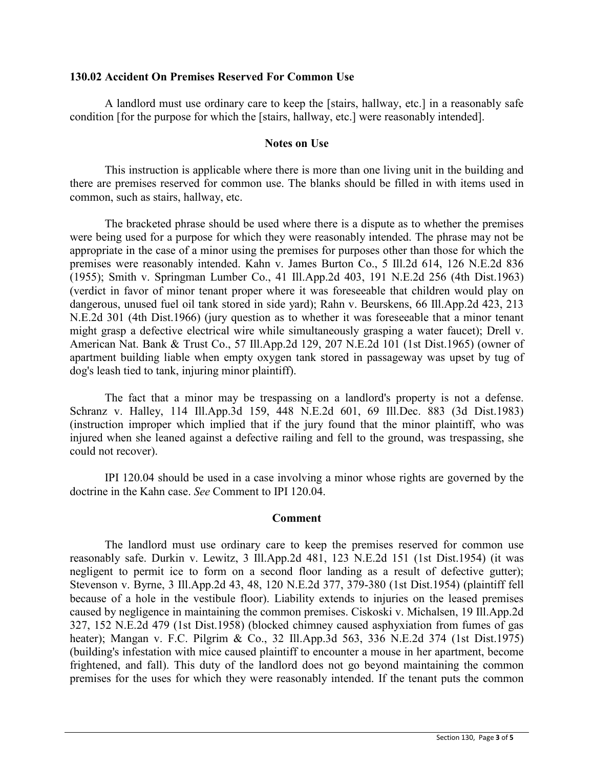## **130.02 Accident On Premises Reserved For Common Use**

A landlord must use ordinary care to keep the [stairs, hallway, etc.] in a reasonably safe condition [for the purpose for which the [stairs, hallway, etc.] were reasonably intended].

## **Notes on Use**

This instruction is applicable where there is more than one living unit in the building and there are premises reserved for common use. The blanks should be filled in with items used in common, such as stairs, hallway, etc.

The bracketed phrase should be used where there is a dispute as to whether the premises were being used for a purpose for which they were reasonably intended. The phrase may not be appropriate in the case of a minor using the premises for purposes other than those for which the premises were reasonably intended. Kahn v. James Burton Co., 5 Ill.2d 614, 126 N.E.2d 836 (1955); Smith v. Springman Lumber Co., 41 Ill.App.2d 403, 191 N.E.2d 256 (4th Dist.1963) (verdict in favor of minor tenant proper where it was foreseeable that children would play on dangerous, unused fuel oil tank stored in side yard); Rahn v. Beurskens, 66 Ill.App.2d 423, 213 N.E.2d 301 (4th Dist.1966) (jury question as to whether it was foreseeable that a minor tenant might grasp a defective electrical wire while simultaneously grasping a water faucet); Drell v. American Nat. Bank & Trust Co., 57 Ill.App.2d 129, 207 N.E.2d 101 (1st Dist.1965) (owner of apartment building liable when empty oxygen tank stored in passageway was upset by tug of dog's leash tied to tank, injuring minor plaintiff).

The fact that a minor may be trespassing on a landlord's property is not a defense. Schranz v. Halley, 114 Ill.App.3d 159, 448 N.E.2d 601, 69 Ill.Dec. 883 (3d Dist.1983) (instruction improper which implied that if the jury found that the minor plaintiff, who was injured when she leaned against a defective railing and fell to the ground, was trespassing, she could not recover).

IPI 120.04 should be used in a case involving a minor whose rights are governed by the doctrine in the Kahn case. *See* Comment to IPI 120.04.

#### **Comment**

The landlord must use ordinary care to keep the premises reserved for common use reasonably safe. Durkin v. Lewitz, 3 Ill.App.2d 481, 123 N.E.2d 151 (1st Dist.1954) (it was negligent to permit ice to form on a second floor landing as a result of defective gutter); Stevenson v. Byrne, 3 Ill.App.2d 43, 48, 120 N.E.2d 377, 379-380 (1st Dist.1954) (plaintiff fell because of a hole in the vestibule floor). Liability extends to injuries on the leased premises caused by negligence in maintaining the common premises. Ciskoski v. Michalsen, 19 Ill.App.2d 327, 152 N.E.2d 479 (1st Dist.1958) (blocked chimney caused asphyxiation from fumes of gas heater); Mangan v. F.C. Pilgrim & Co., 32 Ill.App.3d 563, 336 N.E.2d 374 (1st Dist.1975) (building's infestation with mice caused plaintiff to encounter a mouse in her apartment, become frightened, and fall). This duty of the landlord does not go beyond maintaining the common premises for the uses for which they were reasonably intended. If the tenant puts the common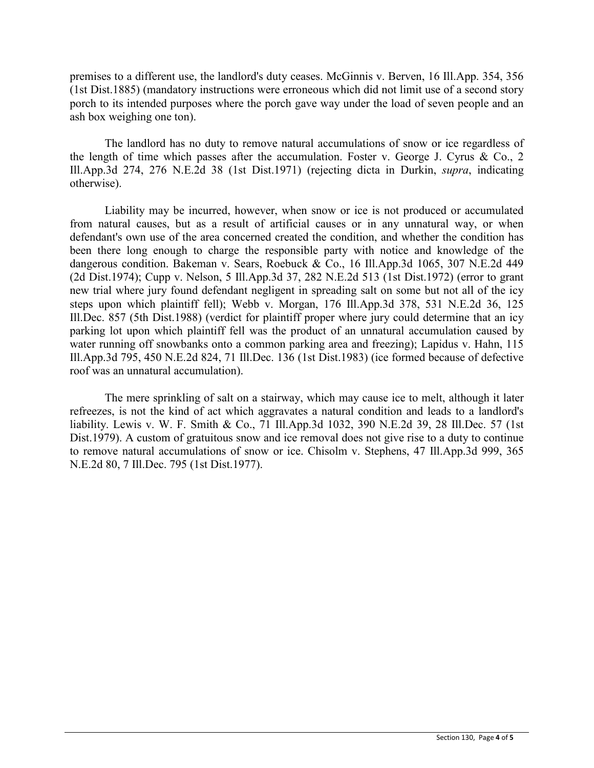premises to a different use, the landlord's duty ceases. McGinnis v. Berven, 16 Ill.App. 354, 356 (1st Dist.1885) (mandatory instructions were erroneous which did not limit use of a second story porch to its intended purposes where the porch gave way under the load of seven people and an ash box weighing one ton).

The landlord has no duty to remove natural accumulations of snow or ice regardless of the length of time which passes after the accumulation. Foster v. George J. Cyrus & Co., 2 Ill.App.3d 274, 276 N.E.2d 38 (1st Dist.1971) (rejecting dicta in Durkin, *supra*, indicating otherwise).

Liability may be incurred, however, when snow or ice is not produced or accumulated from natural causes, but as a result of artificial causes or in any unnatural way, or when defendant's own use of the area concerned created the condition, and whether the condition has been there long enough to charge the responsible party with notice and knowledge of the dangerous condition. Bakeman v. Sears, Roebuck & Co., 16 Ill.App.3d 1065, 307 N.E.2d 449 (2d Dist.1974); Cupp v. Nelson, 5 Ill.App.3d 37, 282 N.E.2d 513 (1st Dist.1972) (error to grant new trial where jury found defendant negligent in spreading salt on some but not all of the icy steps upon which plaintiff fell); Webb v. Morgan, 176 Ill.App.3d 378, 531 N.E.2d 36, 125 Ill.Dec. 857 (5th Dist.1988) (verdict for plaintiff proper where jury could determine that an icy parking lot upon which plaintiff fell was the product of an unnatural accumulation caused by water running off snowbanks onto a common parking area and freezing); Lapidus v. Hahn, 115 Ill.App.3d 795, 450 N.E.2d 824, 71 Ill.Dec. 136 (1st Dist.1983) (ice formed because of defective roof was an unnatural accumulation).

The mere sprinkling of salt on a stairway, which may cause ice to melt, although it later refreezes, is not the kind of act which aggravates a natural condition and leads to a landlord's liability. Lewis v. W. F. Smith & Co., 71 Ill.App.3d 1032, 390 N.E.2d 39, 28 Ill.Dec. 57 (1st Dist.1979). A custom of gratuitous snow and ice removal does not give rise to a duty to continue to remove natural accumulations of snow or ice. Chisolm v. Stephens, 47 Ill.App.3d 999, 365 N.E.2d 80, 7 Ill.Dec. 795 (1st Dist.1977).